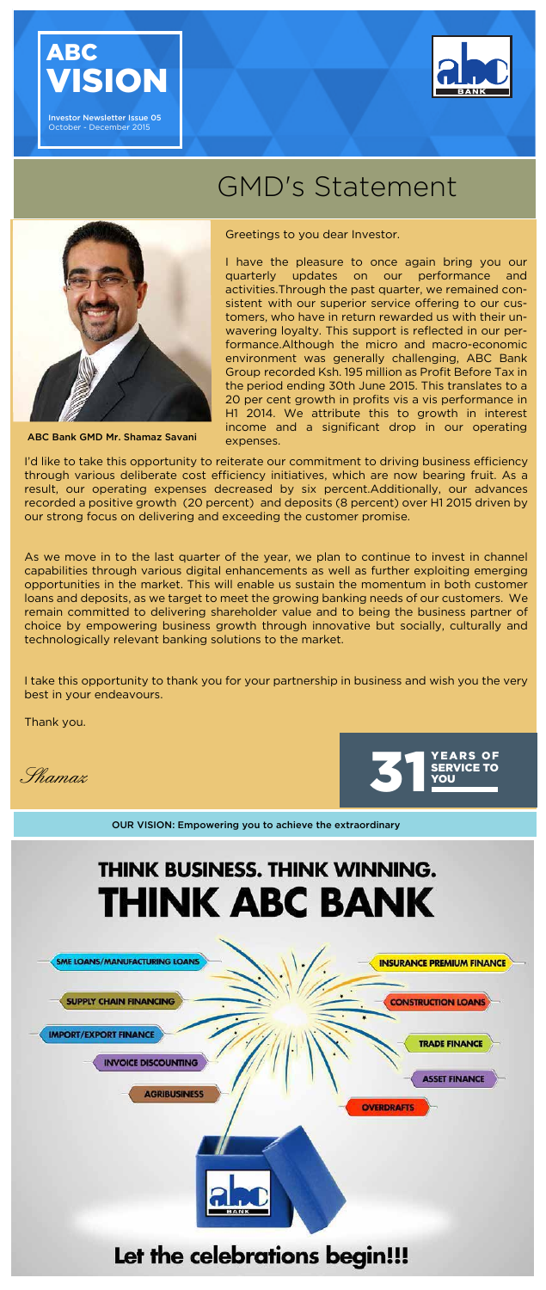Shamaz



ABC Bank GMD Mr. Shamaz Savani





Investor Newsletter Issue 05 October - December 2015



## GMD's Statement



Greetings to you dear Investor.

I have the pleasure to once again bring you our quarterly updates on our performance and activities.Through the past quarter, we remained consistent with our superior service offering to our customers, who have in return rewarded us with their unwavering loyalty. This support is reflected in our performance.Although the micro and macro-economic environment was generally challenging, ABC Bank Group recorded Ksh. 195 million as Profit Before Tax in the period ending 30th June 2015. This translates to a 20 per cent growth in profits vis a vis performance in H1 2014. We attribute this to growth in interest income and a significant drop in our operating expenses.

I'd like to take this opportunity to reiterate our commitment to driving business efficiency through various deliberate cost efficiency initiatives, which are now bearing fruit. As a result, our operating expenses decreased by six percent.Additionally, our advances recorded a positive growth (20 percent) and deposits (8 percent) over H1 2015 driven by our strong focus on delivering and exceeding the customer promise.

As we move in to the last quarter of the year, we plan to continue to invest in channel capabilities through various digital enhancements as well as further exploiting emerging opportunities in the market. This will enable us sustain the momentum in both customer loans and deposits, as we target to meet the growing banking needs of our customers. We remain committed to delivering shareholder value and to being the business partner of choice by empowering business growth through innovative but socially, culturally and technologically relevant banking solutions to the market.

I take this opportunity to thank you for your partnership in business and wish you the very best in your endeavours.

Thank you.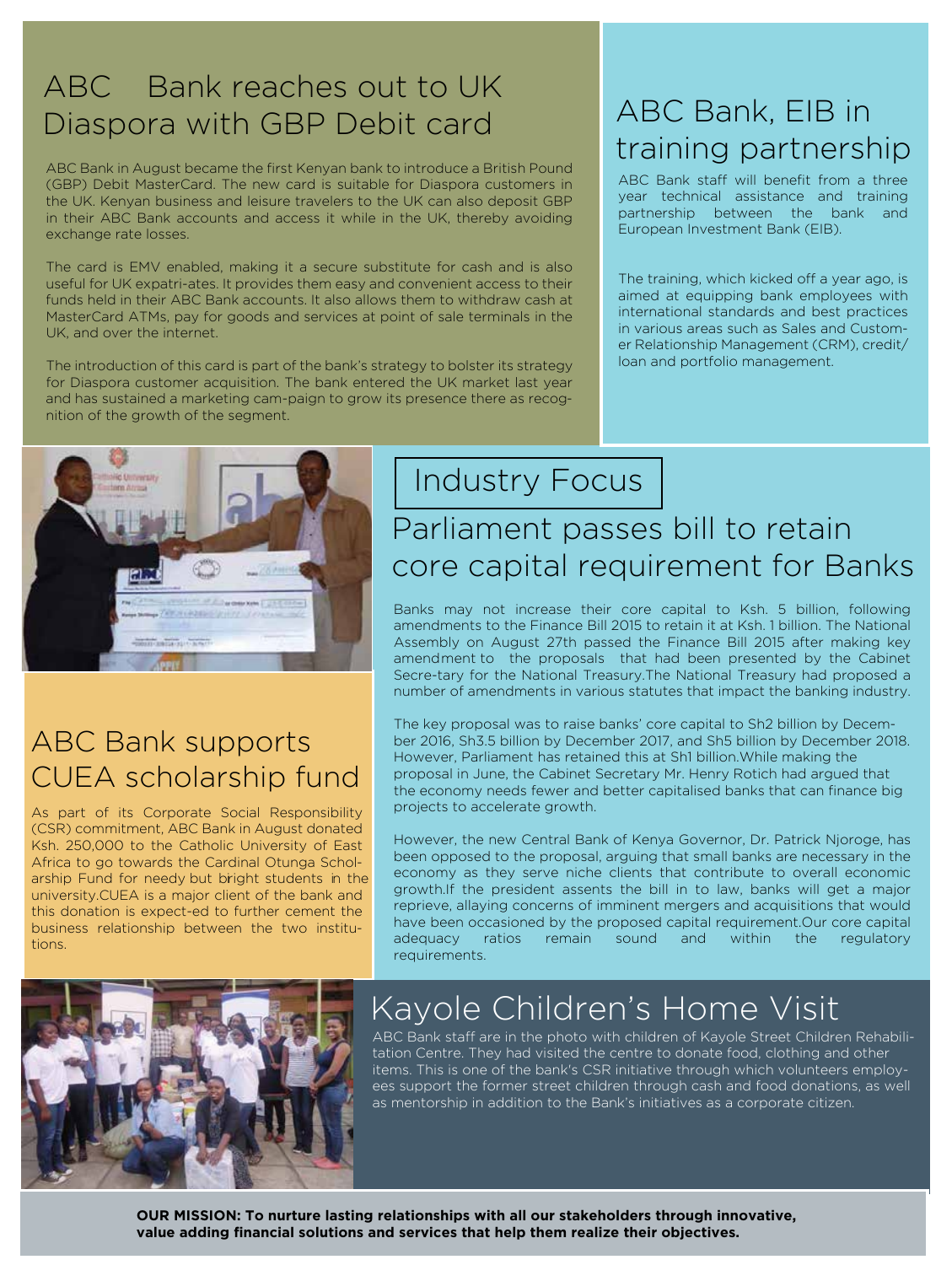#### ABC Bank reaches out to UK Diaspora with GBP Debit card ABC Bank, EIB in

ABC Bank in August became the first Kenyan bank to introduce a British Pound (GBP) Debit MasterCard. The new card is suitable for Diaspora customers in the UK. Kenyan business and leisure travelers to the UK can also deposit GBP in their ABC Bank accounts and access it while in the UK, thereby avoiding exchange rate losses.

The card is EMV enabled, making it a secure substitute for cash and is also useful for UK expatri-ates. It provides them easy and convenient access to their funds held in their ABC Bank accounts. It also allows them to withdraw cash at MasterCard ATMs, pay for goods and services at point of sale terminals in the UK, and over the internet.

The introduction of this card is part of the bank's strategy to bolster its strategy for Diaspora customer acquisition. The bank entered the UK market last year and has sustained a marketing cam-paign to grow its presence there as recognition of the growth of the segment.

# training partnership

ABC Bank staff will benefit from a three year technical assistance and training partnership between the bank and European Investment Bank (EIB).

The training, which kicked off a year ago, is aimed at equipping bank employees with international standards and best practices in various areas such as Sales and Customer Relationship Management (CRM), credit/ loan and portfolio management.



#### ABC Bank supports CUEA scholarship fund

As part of its Corporate Social Responsibility (CSR) commitment, ABC Bank in August donated Ksh. 250,000 to the Catholic University of East Africa to go towards the Cardinal Otunga Scholarship Fund for needy but bright students in the university.CUEA is a major client of the bank and this donation is expect-ed to further cement the business relationship between the two institutions.

### Industry Focus

#### Parliament passes bill to retain core capital requirement for Banks

Banks may not increase their core capital to Ksh. 5 billion, following amendments to the Finance Bill 2015 to retain it at Ksh. 1 billion. The National Assembly on August 27th passed the Finance Bill 2015 after making key amendment to the proposals that had been presented by the Cabinet Secre-tary for the National Treasury.The National Treasury had proposed a number of amendments in various statutes that impact the banking industry.

The key proposal was to raise banks' core capital to Sh2 billion by December 2016, Sh3.5 billion by December 2017, and Sh5 billion by December 2018. However, Parliament has retained this at Sh1 billion.While making the proposal in June, the Cabinet Secretary Mr. Henry Rotich had argued that the economy needs fewer and better capitalised banks that can finance big projects to accelerate growth.

However, the new Central Bank of Kenya Governor, Dr. Patrick Njoroge, has been opposed to the proposal, arguing that small banks are necessary in the economy as they serve niche clients that contribute to overall economic growth.If the president assents the bill in to law, banks will get a major reprieve, allaying concerns of imminent mergers and acquisitions that would have been occasioned by the proposed capital requirement.Our core capital adequacy ratios remain sound and within the regulatory requirements.



#### Kayole Children's Home Visit

ABC Bank staff are in the photo with children of Kayole Street Children Rehabilitation Centre. They had visited the centre to donate food, clothing and other items. This is one of the bank's CSR initiative through which volunteers employees support the former street children through cash and food donations, as well as mentorship in addition to the Bank's initiatives as a corporate citizen.

**OUR MISSION: To nurture lasting relationships with all our stakeholders through innovative, value adding financial solutions and services that help them realize their objectives.**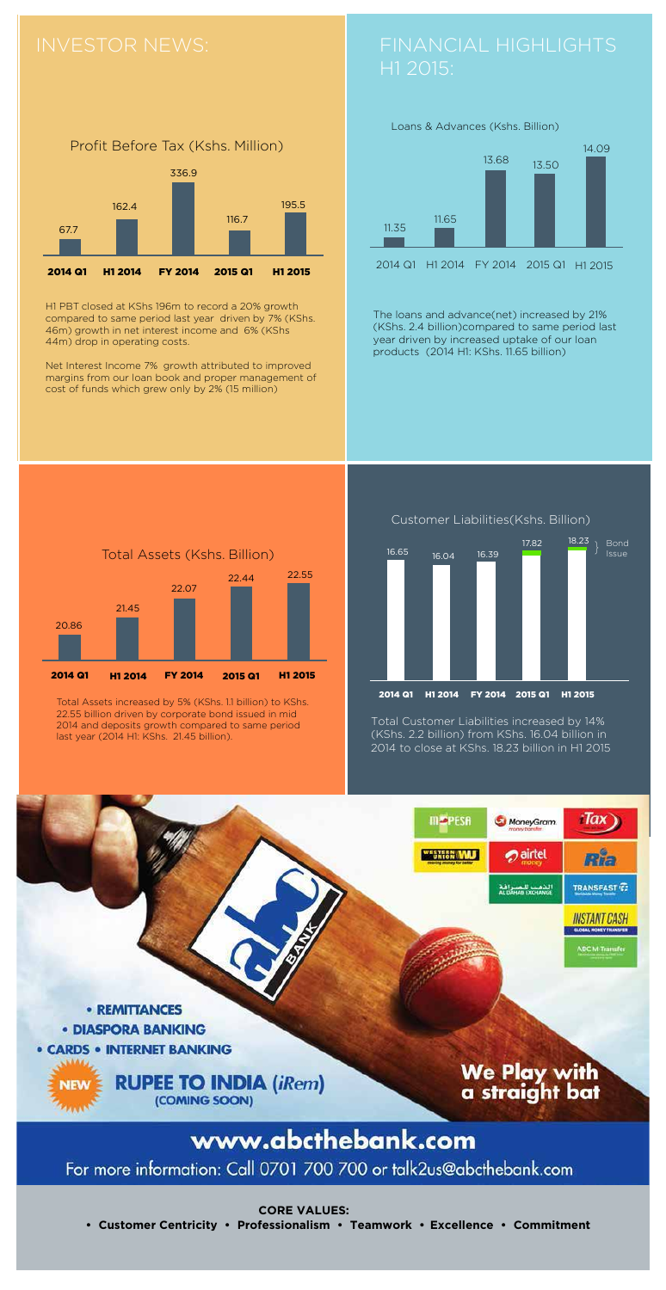Customer Liabilities(Kshs. Billion)



H1 PBT closed at KShs 196m to record a 20% growth compared to same period last year driven by 7% (KShs. 46m) growth in net interest income and 6% (KShs 44m) drop in operating costs.

Net Interest Income 7% growth attributed to improved margins from our loan book and proper management of cost of funds which grew only by 2% (15 million)





Total Assets increased by 5% (KShs. 1.1 billion) to KShs. 22.55 billion driven by corporate bond issued in mid 2014 and deposits growth compared to same period last year (2014 H1: KShs. 21.45 billion).





The loans and advance(net) increased by 21% (KShs. 2.4 billion)compared to same period last year driven by increased uptake of our loan products (2014 H1: KShs. 11.65 billion)

Total Customer Liabilities increased by 14% (KShs. 2.2 billion) from KShs. 16.04 billion in 2014 to close at KShs. 18.23 billion in H1 2015



### www.abcthebank.com

For more information: Call 0701 700 700 or talk2us@abcthebank.com

**CORE VALUES:**

 **• Customer Centricity • Professionalism • Teamwork • Excellence • Commitment**